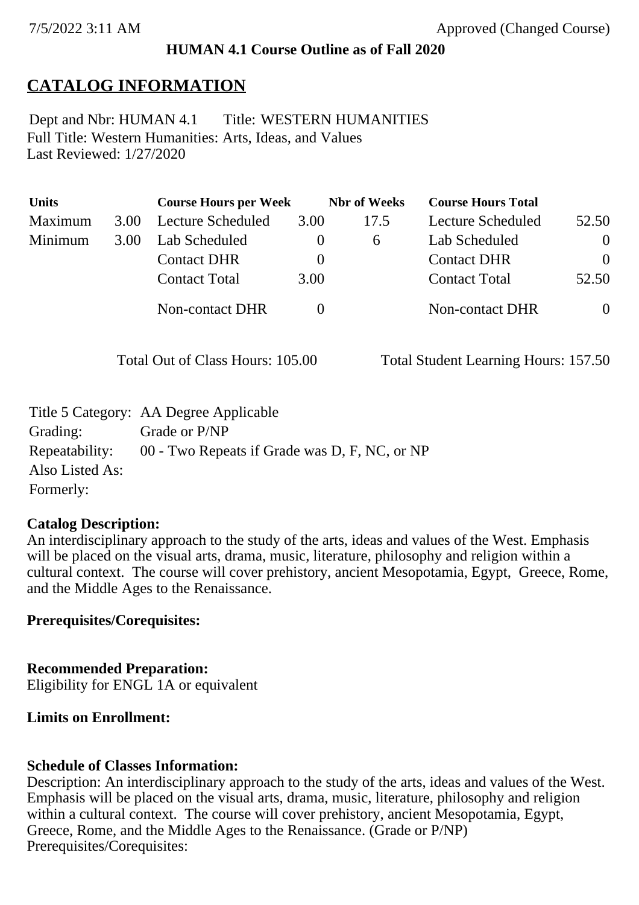### **HUMAN 4.1 Course Outline as of Fall 2020**

# **CATALOG INFORMATION**

Full Title: Western Humanities: Arts, Ideas, and Values Last Reviewed: 1/27/2020 Dept and Nbr: HUMAN 4.1 Title: WESTERN HUMANITIES

| <b>Units</b> |      | <b>Course Hours per Week</b> |          | <b>Nbr</b> of Weeks | <b>Course Hours Total</b> |                |
|--------------|------|------------------------------|----------|---------------------|---------------------------|----------------|
| Maximum      | 3.00 | Lecture Scheduled            | 3.00     | 17.5                | Lecture Scheduled         | 52.50          |
| Minimum      | 3.00 | Lab Scheduled                | $\bf{0}$ | 6                   | Lab Scheduled             | $\theta$       |
|              |      | <b>Contact DHR</b>           | $\theta$ |                     | <b>Contact DHR</b>        | $\Omega$       |
|              |      | <b>Contact Total</b>         | 3.00     |                     | <b>Contact Total</b>      | 52.50          |
|              |      | Non-contact DHR              |          |                     | Non-contact DHR           | $\overline{0}$ |

Total Out of Class Hours: 105.00 Total Student Learning Hours: 157.50

|                 | Title 5 Category: AA Degree Applicable        |
|-----------------|-----------------------------------------------|
| Grading:        | Grade or P/NP                                 |
| Repeatability:  | 00 - Two Repeats if Grade was D, F, NC, or NP |
| Also Listed As: |                                               |
| Formerly:       |                                               |

### **Catalog Description:**

An interdisciplinary approach to the study of the arts, ideas and values of the West. Emphasis will be placed on the visual arts, drama, music, literature, philosophy and religion within a cultural context. The course will cover prehistory, ancient Mesopotamia, Egypt, Greece, Rome, and the Middle Ages to the Renaissance.

### **Prerequisites/Corequisites:**

**Recommended Preparation:** Eligibility for ENGL 1A or equivalent

### **Limits on Enrollment:**

### **Schedule of Classes Information:**

Description: An interdisciplinary approach to the study of the arts, ideas and values of the West. Emphasis will be placed on the visual arts, drama, music, literature, philosophy and religion within a cultural context. The course will cover prehistory, ancient Mesopotamia, Egypt, Greece, Rome, and the Middle Ages to the Renaissance. (Grade or P/NP) Prerequisites/Corequisites: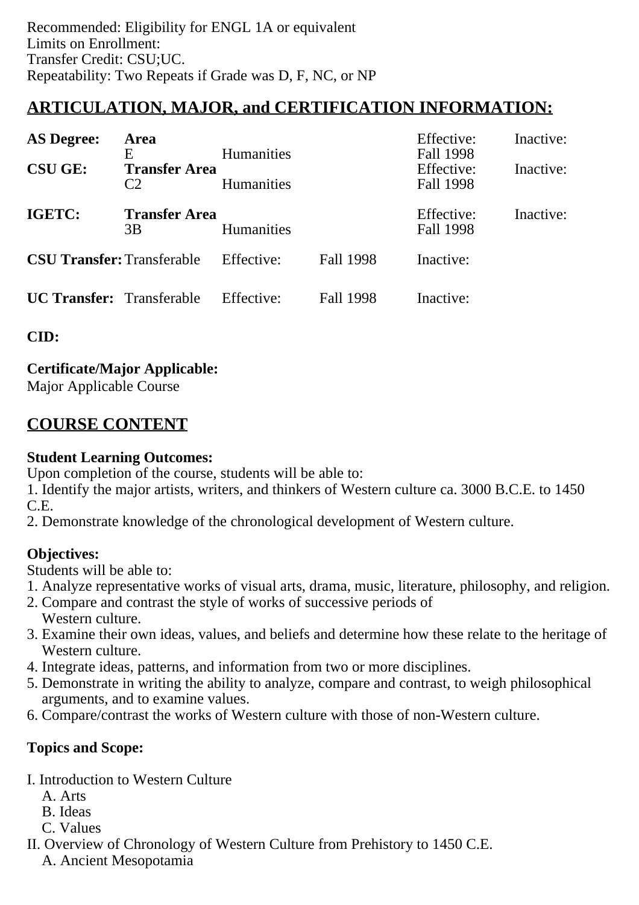# **ARTICULATION, MAJOR, and CERTIFICATION INFORMATION:**

| <b>AS Degree:</b>                 | Area                                        |                                        |           | Effective:                           | Inactive: |
|-----------------------------------|---------------------------------------------|----------------------------------------|-----------|--------------------------------------|-----------|
| <b>CSU GE:</b>                    | E<br><b>Transfer Area</b><br>C <sub>2</sub> | <b>Humanities</b><br><b>Humanities</b> |           | Fall 1998<br>Effective:<br>Fall 1998 | Inactive: |
| IGETC:                            | <b>Transfer Area</b><br>3B                  | <b>Humanities</b>                      |           | Effective:<br>Fall 1998              | Inactive: |
| <b>CSU Transfer: Transferable</b> |                                             | Effective:                             | Fall 1998 | Inactive:                            |           |
| <b>UC Transfer:</b> Transferable  |                                             | Effective:                             | Fall 1998 | Inactive:                            |           |

**CID:**

**Certificate/Major Applicable:**  [Major Applicable Course](SR_ClassCheck.aspx?CourseKey=HUMAN4.1)

# **COURSE CONTENT**

# **Student Learning Outcomes:**

Upon completion of the course, students will be able to:

1. Identify the major artists, writers, and thinkers of Western culture ca. 3000 B.C.E. to 1450 C.E.

2. Demonstrate knowledge of the chronological development of Western culture.

# **Objectives:**

Students will be able to:

- 1. Analyze representative works of visual arts, drama, music, literature, philosophy, and religion.
- 2. Compare and contrast the style of works of successive periods of Western culture.
- 3. Examine their own ideas, values, and beliefs and determine how these relate to the heritage of Western culture.
- 4. Integrate ideas, patterns, and information from two or more disciplines.
- 5. Demonstrate in writing the ability to analyze, compare and contrast, to weigh philosophical arguments, and to examine values.
- 6. Compare/contrast the works of Western culture with those of non-Western culture.

# **Topics and Scope:**

- I. Introduction to Western Culture
	- A. Arts
	- B. Ideas
	- C. Values
- II. Overview of Chronology of Western Culture from Prehistory to 1450 C.E. A. Ancient Mesopotamia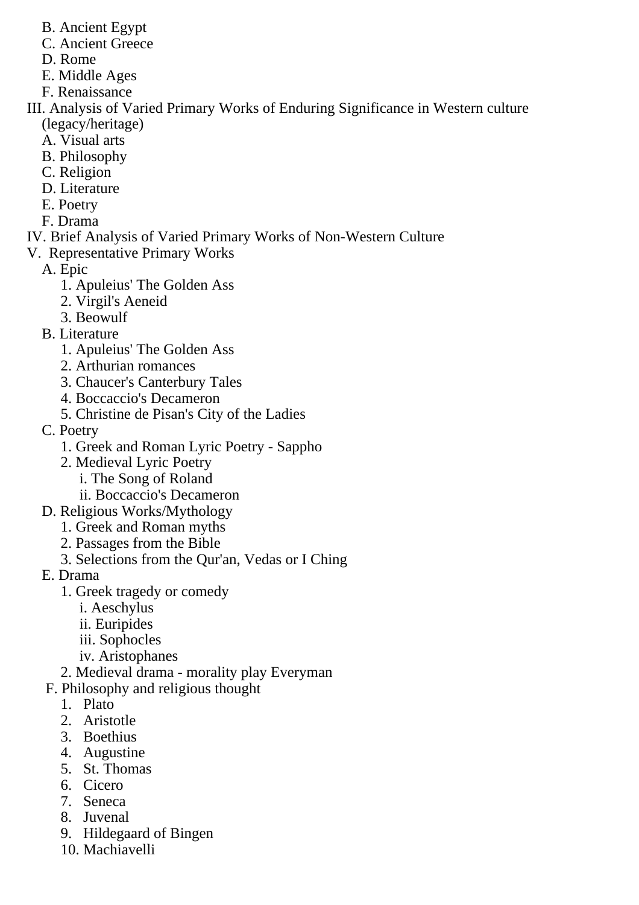- B. Ancient Egypt
- C. Ancient Greece
- D. Rome
- E. Middle Ages
- F. Renaissance
- III. Analysis of Varied Primary Works of Enduring Significance in Western culture (legacy/heritage)
	- A. Visual arts
	- B. Philosophy
	- C. Religion
	- D. Literature
	- E. Poetry
	- F. Drama
- IV. Brief Analysis of Varied Primary Works of Non-Western Culture
- V. Representative Primary Works
	- A. Epic
		- 1. Apuleius' The Golden Ass
		- 2. Virgil's Aeneid
		- 3. Beowulf
	- B. Literature
		- 1. Apuleius' The Golden Ass
		- 2. Arthurian romances
		- 3. Chaucer's Canterbury Tales
		- 4. Boccaccio's Decameron
		- 5. Christine de Pisan's City of the Ladies
	- C. Poetry
		- 1. Greek and Roman Lyric Poetry Sappho
		- 2. Medieval Lyric Poetry
			- i. The Song of Roland
			- ii. Boccaccio's Decameron
	- D. Religious Works/Mythology
		- 1. Greek and Roman myths
		- 2. Passages from the Bible
		- 3. Selections from the Qur'an, Vedas or I Ching
	- E. Drama
		- 1. Greek tragedy or comedy
			- i. Aeschylus
			- ii. Euripides
			- iii. Sophocles
			- iv. Aristophanes
		- 2. Medieval drama morality play Everyman
	- F. Philosophy and religious thought
		- 1. Plato
		- 2. Aristotle
		- 3. Boethius
		- 4. Augustine
		- 5. St. Thomas
		- 6. Cicero
		- 7. Seneca
		- 8. Juvenal
		- 9. Hildegaard of Bingen
		- 10. Machiavelli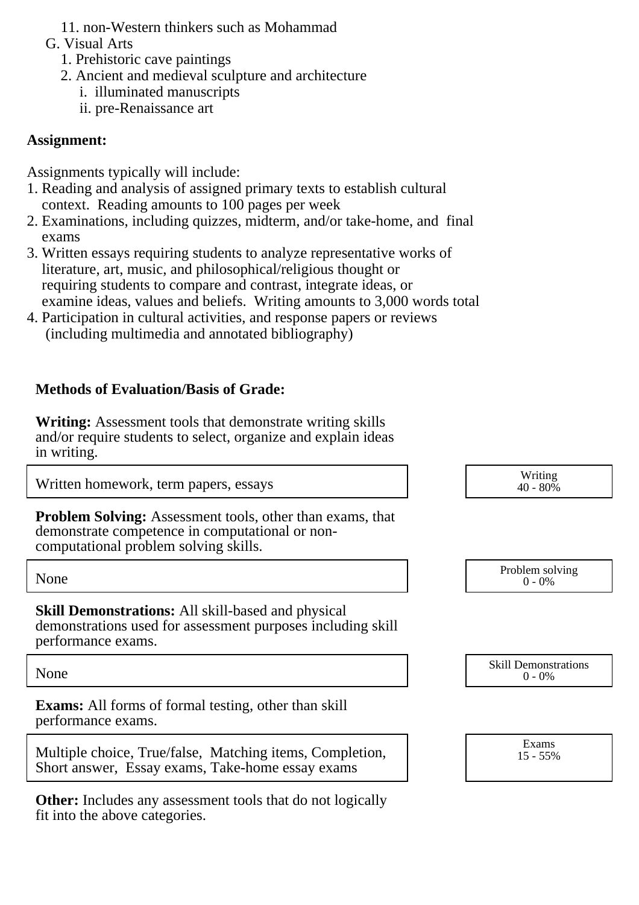- 11. non-Western thinkers such as Mohammad
- G. Visual Arts
	- 1. Prehistoric cave paintings
	- 2. Ancient and medieval sculpture and architecture
		- i. illuminated manuscripts
		- ii. pre-Renaissance art

## **Assignment:**

Assignments typically will include:

- 1. Reading and analysis of assigned primary texts to establish cultural context. Reading amounts to 100 pages per week
- 2. Examinations, including quizzes, midterm, and/or take-home, and final exams
- 3. Written essays requiring students to analyze representative works of literature, art, music, and philosophical/religious thought or requiring students to compare and contrast, integrate ideas, or examine ideas, values and beliefs. Writing amounts to 3,000 words total
- 4. Participation in cultural activities, and response papers or reviews (including multimedia and annotated bibliography)

# **Methods of Evaluation/Basis of Grade:**

**Writing:** Assessment tools that demonstrate writing skills and/or require students to select, organize and explain ideas in writing.

**Exams:** All forms of formal testing, other than skill performance exams.

|  | Multiple choice, True/false, Matching items, Completion, |  |
|--|----------------------------------------------------------|--|
|  | Short answer, Essay exams, Take-home essay exams         |  |

**Other:** Includes any assessment tools that do not logically fit into the above categories.

| Written homework, term papers, essays                                                                                                                        | Writing<br>$40 - 80\%$                   |
|--------------------------------------------------------------------------------------------------------------------------------------------------------------|------------------------------------------|
| <b>Problem Solving:</b> Assessment tools, other than exams, that<br>demonstrate competence in computational or non-<br>computational problem solving skills. |                                          |
| None                                                                                                                                                         | Problem solving<br>$0 - 0\%$             |
| <b>Skill Demonstrations:</b> All skill-based and physical<br>demonstrations used for assessment purposes including skill<br>performance exams.               |                                          |
| None                                                                                                                                                         | <b>Skill Demonstrations</b><br>$0 - 0\%$ |
| <b>Exams:</b> All forms of formal testing, other than skill                                                                                                  |                                          |

Exams 15 - 55%